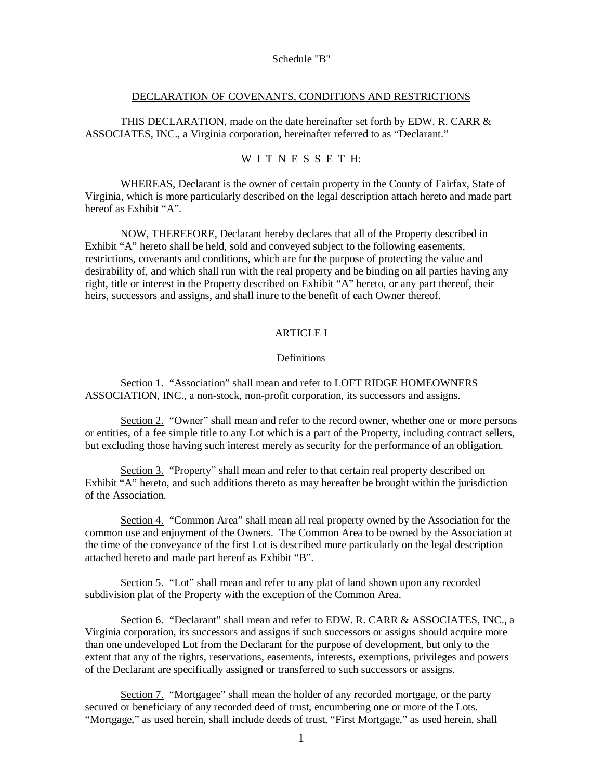### Schedule "B"

## DECLARATION OF COVENANTS, CONDITIONS AND RESTRICTIONS

THIS DECLARATION, made on the date hereinafter set forth by EDW. R. CARR  $\&$ ASSOCIATES, INC., a Virginia corporation, hereinafter referred to as "Declarant."

# $\underline{W}$  I T N E S S E T H:

WHEREAS, Declarant is the owner of certain property in the County of Fairfax, State of Virginia, which is more particularly described on the legal description attach hereto and made part hereof as Exhibit "A".

NOW, THEREFORE, Declarant hereby declares that all of the Property described in Exhibit "A" hereto shall be held, sold and conveyed subject to the following easements, restrictions, covenants and conditions, which are for the purpose of protecting the value and desirability of, and which shall run with the real property and be binding on all parties having any right, title or interest in the Property described on Exhibit "A" hereto, or any part thereof, their heirs, successors and assigns, and shall inure to the benefit of each Owner thereof.

## ARTICLE I

#### Definitions

Section 1. "Association" shall mean and refer to LOFT RIDGE HOMEOWNERS ASSOCIATION, INC., a non-stock, non-profit corporation, its successors and assigns.

Section 2. "Owner" shall mean and refer to the record owner, whether one or more persons or entities, of a fee simple title to any Lot which is a part of the Property, including contract sellers, but excluding those having such interest merely as security for the performance of an obligation.

Section 3. "Property" shall mean and refer to that certain real property described on Exhibit "A" hereto, and such additions thereto as may hereafter be brought within the jurisdiction of the Association.

Section 4. "Common Area" shall mean all real property owned by the Association for the common use and enjoyment of the Owners. The Common Area to be owned by the Association at the time of the conveyance of the first Lot is described more particularly on the legal description attached hereto and made part hereof as Exhibit "B".

Section 5. "Lot" shall mean and refer to any plat of land shown upon any recorded subdivision plat of the Property with the exception of the Common Area.

Section 6. "Declarant" shall mean and refer to EDW. R. CARR & ASSOCIATES, INC., a Virginia corporation, its successors and assigns if such successors or assigns should acquire more than one undeveloped Lot from the Declarant for the purpose of development, but only to the extent that any of the rights, reservations, easements, interests, exemptions, privileges and powers of the Declarant are specifically assigned or transferred to such successors or assigns.

Section 7. "Mortgagee" shall mean the holder of any recorded mortgage, or the party secured or beneficiary of any recorded deed of trust, encumbering one or more of the Lots. "Mortgage," as used herein, shall include deeds of trust, "First Mortgage," as used herein, shall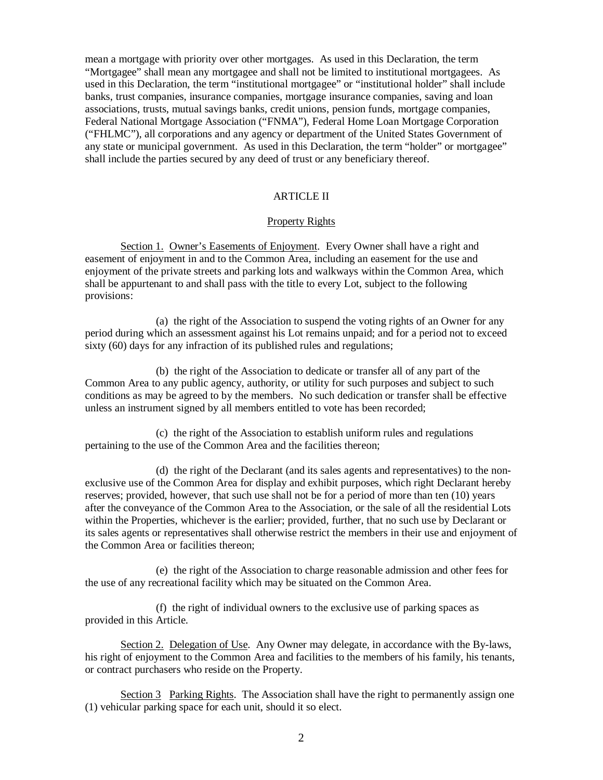mean a mortgage with priority over other mortgages. As used in this Declaration, the term "Mortgagee" shall mean any mortgagee and shall not be limited to institutional mortgagees. As used in this Declaration, the term "institutional mortgagee" or "institutional holder" shall include banks, trust companies, insurance companies, mortgage insurance companies, saving and loan associations, trusts, mutual savings banks, credit unions, pension funds, mortgage companies, Federal National Mortgage Association ("FNMA"), Federal Home Loan Mortgage Corporation ("FHLMC"), all corporations and any agency or department of the United States Government of any state or municipal government. As used in this Declaration, the term "holder" or mortgagee" shall include the parties secured by any deed of trust or any beneficiary thereof.

# ARTICLE II

### Property Rights

Section 1. Owner's Easements of Enjoyment. Every Owner shall have a right and easement of enjoyment in and to the Common Area, including an easement for the use and enjoyment of the private streets and parking lots and walkways within the Common Area, which shall be appurtenant to and shall pass with the title to every Lot, subject to the following provisions:

 (a) the right of the Association to suspend the voting rights of an Owner for any period during which an assessment against his Lot remains unpaid; and for a period not to exceed sixty (60) days for any infraction of its published rules and regulations;

 (b) the right of the Association to dedicate or transfer all of any part of the Common Area to any public agency, authority, or utility for such purposes and subject to such conditions as may be agreed to by the members. No such dedication or transfer shall be effective unless an instrument signed by all members entitled to vote has been recorded;

 (c) the right of the Association to establish uniform rules and regulations pertaining to the use of the Common Area and the facilities thereon;

 (d) the right of the Declarant (and its sales agents and representatives) to the nonexclusive use of the Common Area for display and exhibit purposes, which right Declarant hereby reserves; provided, however, that such use shall not be for a period of more than ten (10) years after the conveyance of the Common Area to the Association, or the sale of all the residential Lots within the Properties, whichever is the earlier; provided, further, that no such use by Declarant or its sales agents or representatives shall otherwise restrict the members in their use and enjoyment of the Common Area or facilities thereon;

 (e) the right of the Association to charge reasonable admission and other fees for the use of any recreational facility which may be situated on the Common Area.

 (f) the right of individual owners to the exclusive use of parking spaces as provided in this Article.

Section 2. Delegation of Use. Any Owner may delegate, in accordance with the By-laws, his right of enjoyment to the Common Area and facilities to the members of his family, his tenants, or contract purchasers who reside on the Property.

Section 3 Parking Rights. The Association shall have the right to permanently assign one (1) vehicular parking space for each unit, should it so elect.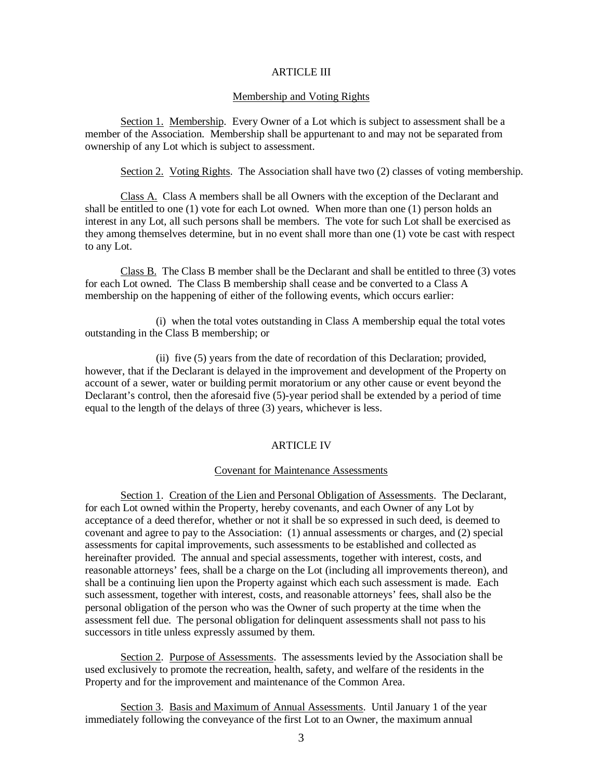### ARTICLE III

## Membership and Voting Rights

Section 1. Membership. Every Owner of a Lot which is subject to assessment shall be a member of the Association. Membership shall be appurtenant to and may not be separated from ownership of any Lot which is subject to assessment.

Section 2. Voting Rights. The Association shall have two (2) classes of voting membership.

Class A. Class A members shall be all Owners with the exception of the Declarant and shall be entitled to one (1) vote for each Lot owned. When more than one (1) person holds an interest in any Lot, all such persons shall be members. The vote for such Lot shall be exercised as they among themselves determine, but in no event shall more than one (1) vote be cast with respect to any Lot.

Class B. The Class B member shall be the Declarant and shall be entitled to three (3) votes for each Lot owned. The Class B membership shall cease and be converted to a Class A membership on the happening of either of the following events, which occurs earlier:

 (i) when the total votes outstanding in Class A membership equal the total votes outstanding in the Class B membership; or

 (ii) five (5) years from the date of recordation of this Declaration; provided, however, that if the Declarant is delayed in the improvement and development of the Property on account of a sewer, water or building permit moratorium or any other cause or event beyond the Declarant's control, then the aforesaid five (5)-year period shall be extended by a period of time equal to the length of the delays of three (3) years, whichever is less.

### ARTICLE IV

### Covenant for Maintenance Assessments

Section 1. Creation of the Lien and Personal Obligation of Assessments. The Declarant, for each Lot owned within the Property, hereby covenants, and each Owner of any Lot by acceptance of a deed therefor, whether or not it shall be so expressed in such deed, is deemed to covenant and agree to pay to the Association: (1) annual assessments or charges, and (2) special assessments for capital improvements, such assessments to be established and collected as hereinafter provided. The annual and special assessments, together with interest, costs, and reasonable attorneys' fees, shall be a charge on the Lot (including all improvements thereon), and shall be a continuing lien upon the Property against which each such assessment is made. Each such assessment, together with interest, costs, and reasonable attorneys' fees, shall also be the personal obligation of the person who was the Owner of such property at the time when the assessment fell due. The personal obligation for delinquent assessments shall not pass to his successors in title unless expressly assumed by them.

Section 2. Purpose of Assessments. The assessments levied by the Association shall be used exclusively to promote the recreation, health, safety, and welfare of the residents in the Property and for the improvement and maintenance of the Common Area.

Section 3. Basis and Maximum of Annual Assessments. Until January 1 of the year immediately following the conveyance of the first Lot to an Owner, the maximum annual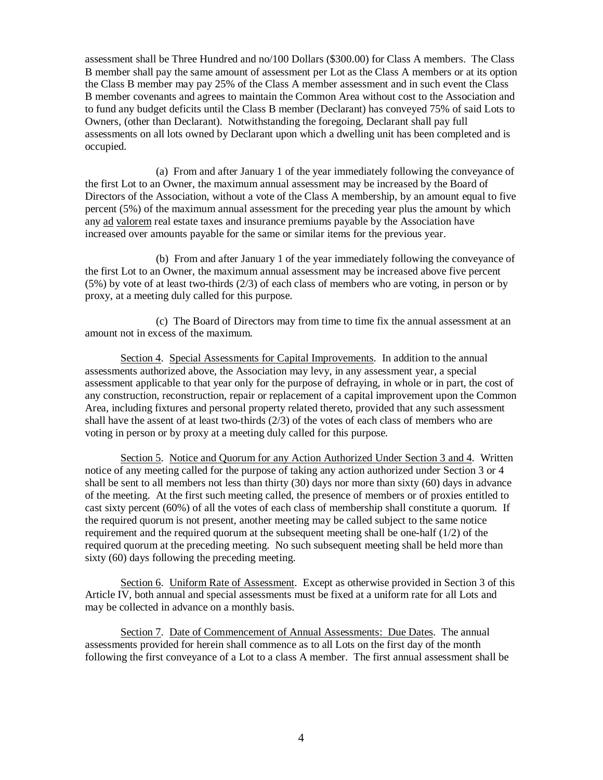assessment shall be Three Hundred and no/100 Dollars (\$300.00) for Class A members. The Class B member shall pay the same amount of assessment per Lot as the Class A members or at its option the Class B member may pay 25% of the Class A member assessment and in such event the Class B member covenants and agrees to maintain the Common Area without cost to the Association and to fund any budget deficits until the Class B member (Declarant) has conveyed 75% of said Lots to Owners, (other than Declarant). Notwithstanding the foregoing, Declarant shall pay full assessments on all lots owned by Declarant upon which a dwelling unit has been completed and is occupied.

 (a) From and after January 1 of the year immediately following the conveyance of the first Lot to an Owner, the maximum annual assessment may be increased by the Board of Directors of the Association, without a vote of the Class A membership, by an amount equal to five percent (5%) of the maximum annual assessment for the preceding year plus the amount by which any ad valorem real estate taxes and insurance premiums payable by the Association have increased over amounts payable for the same or similar items for the previous year.

 (b) From and after January 1 of the year immediately following the conveyance of the first Lot to an Owner, the maximum annual assessment may be increased above five percent (5%) by vote of at least two-thirds (2/3) of each class of members who are voting, in person or by proxy, at a meeting duly called for this purpose.

 (c) The Board of Directors may from time to time fix the annual assessment at an amount not in excess of the maximum.

Section 4. Special Assessments for Capital Improvements. In addition to the annual assessments authorized above, the Association may levy, in any assessment year, a special assessment applicable to that year only for the purpose of defraying, in whole or in part, the cost of any construction, reconstruction, repair or replacement of a capital improvement upon the Common Area, including fixtures and personal property related thereto, provided that any such assessment shall have the assent of at least two-thirds  $(2/3)$  of the votes of each class of members who are voting in person or by proxy at a meeting duly called for this purpose.

Section 5. Notice and Quorum for any Action Authorized Under Section 3 and 4. Written notice of any meeting called for the purpose of taking any action authorized under Section 3 or 4 shall be sent to all members not less than thirty (30) days nor more than sixty (60) days in advance of the meeting. At the first such meeting called, the presence of members or of proxies entitled to cast sixty percent (60%) of all the votes of each class of membership shall constitute a quorum. If the required quorum is not present, another meeting may be called subject to the same notice requirement and the required quorum at the subsequent meeting shall be one-half (1/2) of the required quorum at the preceding meeting. No such subsequent meeting shall be held more than sixty (60) days following the preceding meeting.

Section 6. Uniform Rate of Assessment. Except as otherwise provided in Section 3 of this Article IV, both annual and special assessments must be fixed at a uniform rate for all Lots and may be collected in advance on a monthly basis.

Section 7. Date of Commencement of Annual Assessments: Due Dates. The annual assessments provided for herein shall commence as to all Lots on the first day of the month following the first conveyance of a Lot to a class A member. The first annual assessment shall be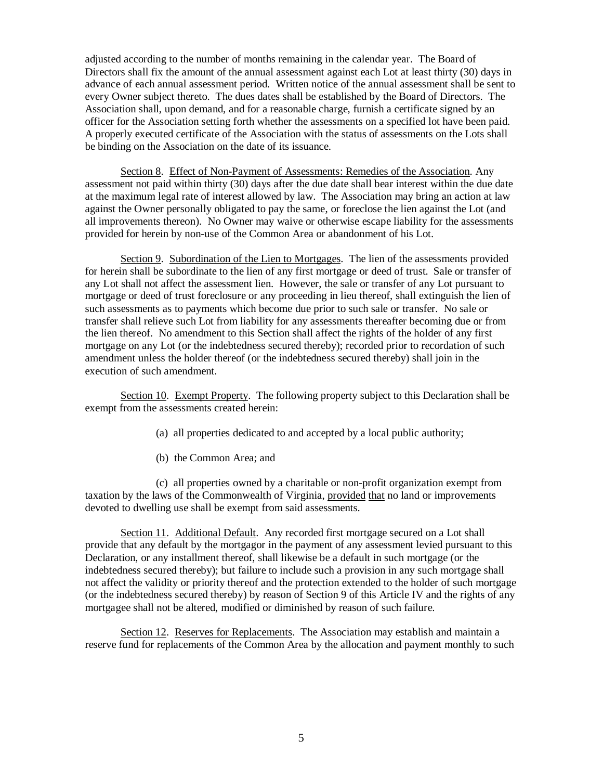adjusted according to the number of months remaining in the calendar year. The Board of Directors shall fix the amount of the annual assessment against each Lot at least thirty (30) days in advance of each annual assessment period. Written notice of the annual assessment shall be sent to every Owner subject thereto. The dues dates shall be established by the Board of Directors. The Association shall, upon demand, and for a reasonable charge, furnish a certificate signed by an officer for the Association setting forth whether the assessments on a specified lot have been paid. A properly executed certificate of the Association with the status of assessments on the Lots shall be binding on the Association on the date of its issuance.

Section 8. Effect of Non-Payment of Assessments: Remedies of the Association. Any assessment not paid within thirty (30) days after the due date shall bear interest within the due date at the maximum legal rate of interest allowed by law. The Association may bring an action at law against the Owner personally obligated to pay the same, or foreclose the lien against the Lot (and all improvements thereon). No Owner may waive or otherwise escape liability for the assessments provided for herein by non-use of the Common Area or abandonment of his Lot.

Section 9. Subordination of the Lien to Mortgages. The lien of the assessments provided for herein shall be subordinate to the lien of any first mortgage or deed of trust. Sale or transfer of any Lot shall not affect the assessment lien. However, the sale or transfer of any Lot pursuant to mortgage or deed of trust foreclosure or any proceeding in lieu thereof, shall extinguish the lien of such assessments as to payments which become due prior to such sale or transfer. No sale or transfer shall relieve such Lot from liability for any assessments thereafter becoming due or from the lien thereof. No amendment to this Section shall affect the rights of the holder of any first mortgage on any Lot (or the indebtedness secured thereby); recorded prior to recordation of such amendment unless the holder thereof (or the indebtedness secured thereby) shall join in the execution of such amendment.

Section 10. Exempt Property. The following property subject to this Declaration shall be exempt from the assessments created herein:

- (a) all properties dedicated to and accepted by a local public authority;
- (b) the Common Area; and

 (c) all properties owned by a charitable or non-profit organization exempt from taxation by the laws of the Commonwealth of Virginia, provided that no land or improvements devoted to dwelling use shall be exempt from said assessments.

Section 11. Additional Default. Any recorded first mortgage secured on a Lot shall provide that any default by the mortgagor in the payment of any assessment levied pursuant to this Declaration, or any installment thereof, shall likewise be a default in such mortgage (or the indebtedness secured thereby); but failure to include such a provision in any such mortgage shall not affect the validity or priority thereof and the protection extended to the holder of such mortgage (or the indebtedness secured thereby) by reason of Section 9 of this Article IV and the rights of any mortgagee shall not be altered, modified or diminished by reason of such failure.

Section 12. Reserves for Replacements. The Association may establish and maintain a reserve fund for replacements of the Common Area by the allocation and payment monthly to such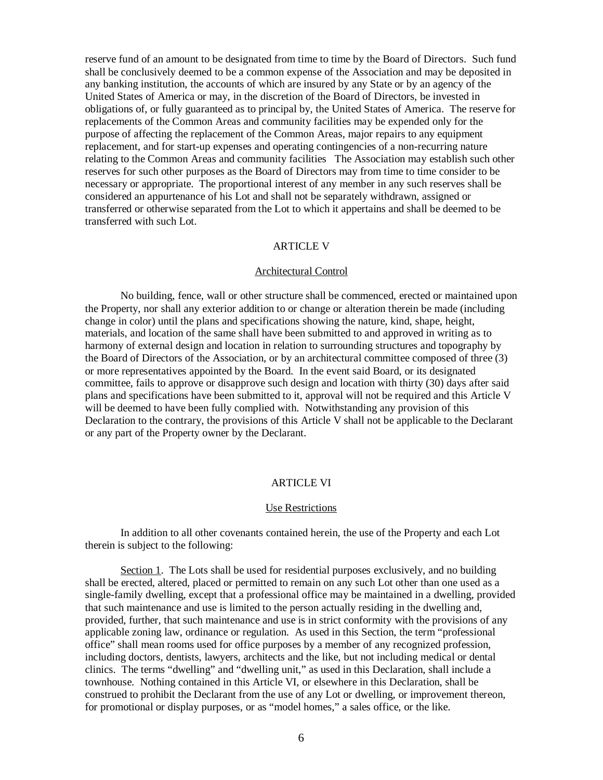reserve fund of an amount to be designated from time to time by the Board of Directors. Such fund shall be conclusively deemed to be a common expense of the Association and may be deposited in any banking institution, the accounts of which are insured by any State or by an agency of the United States of America or may, in the discretion of the Board of Directors, be invested in obligations of, or fully guaranteed as to principal by, the United States of America. The reserve for replacements of the Common Areas and community facilities may be expended only for the purpose of affecting the replacement of the Common Areas, major repairs to any equipment replacement, and for start-up expenses and operating contingencies of a non-recurring nature relating to the Common Areas and community facilities The Association may establish such other reserves for such other purposes as the Board of Directors may from time to time consider to be necessary or appropriate. The proportional interest of any member in any such reserves shall be considered an appurtenance of his Lot and shall not be separately withdrawn, assigned or transferred or otherwise separated from the Lot to which it appertains and shall be deemed to be transferred with such Lot.

# ARTICLE V

## Architectural Control

No building, fence, wall or other structure shall be commenced, erected or maintained upon the Property, nor shall any exterior addition to or change or alteration therein be made (including change in color) until the plans and specifications showing the nature, kind, shape, height, materials, and location of the same shall have been submitted to and approved in writing as to harmony of external design and location in relation to surrounding structures and topography by the Board of Directors of the Association, or by an architectural committee composed of three (3) or more representatives appointed by the Board. In the event said Board, or its designated committee, fails to approve or disapprove such design and location with thirty (30) days after said plans and specifications have been submitted to it, approval will not be required and this Article V will be deemed to have been fully complied with. Notwithstanding any provision of this Declaration to the contrary, the provisions of this Article V shall not be applicable to the Declarant or any part of the Property owner by the Declarant.

## ARTICLE VI

## Use Restrictions

In addition to all other covenants contained herein, the use of the Property and each Lot therein is subject to the following:

Section 1. The Lots shall be used for residential purposes exclusively, and no building shall be erected, altered, placed or permitted to remain on any such Lot other than one used as a single-family dwelling, except that a professional office may be maintained in a dwelling, provided that such maintenance and use is limited to the person actually residing in the dwelling and, provided, further, that such maintenance and use is in strict conformity with the provisions of any applicable zoning law, ordinance or regulation. As used in this Section, the term "professional office" shall mean rooms used for office purposes by a member of any recognized profession, including doctors, dentists, lawyers, architects and the like, but not including medical or dental clinics. The terms "dwelling" and "dwelling unit," as used in this Declaration, shall include a townhouse. Nothing contained in this Article VI, or elsewhere in this Declaration, shall be construed to prohibit the Declarant from the use of any Lot or dwelling, or improvement thereon, for promotional or display purposes, or as "model homes," a sales office, or the like.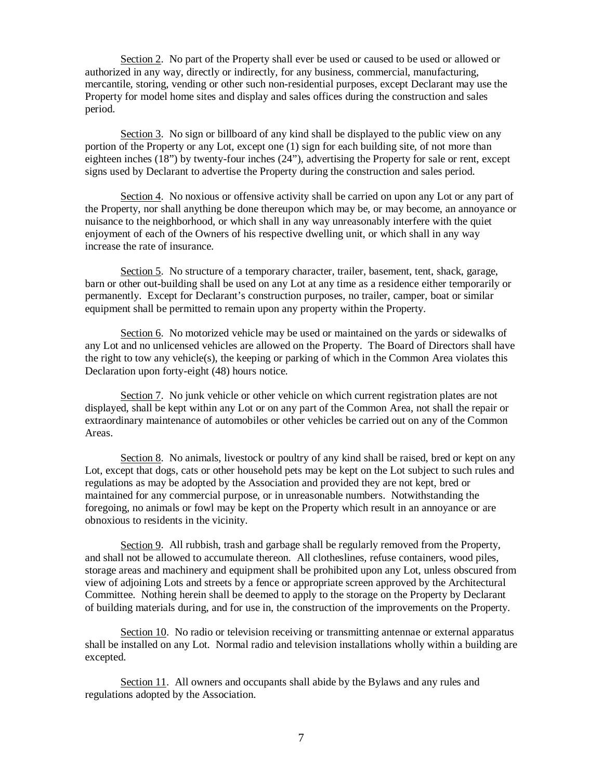Section 2. No part of the Property shall ever be used or caused to be used or allowed or authorized in any way, directly or indirectly, for any business, commercial, manufacturing, mercantile, storing, vending or other such non-residential purposes, except Declarant may use the Property for model home sites and display and sales offices during the construction and sales period.

Section 3. No sign or billboard of any kind shall be displayed to the public view on any portion of the Property or any Lot, except one (1) sign for each building site, of not more than eighteen inches (18") by twenty-four inches (24"), advertising the Property for sale or rent, except signs used by Declarant to advertise the Property during the construction and sales period.

Section 4. No noxious or offensive activity shall be carried on upon any Lot or any part of the Property, nor shall anything be done thereupon which may be, or may become, an annoyance or nuisance to the neighborhood, or which shall in any way unreasonably interfere with the quiet enjoyment of each of the Owners of his respective dwelling unit, or which shall in any way increase the rate of insurance.

Section 5. No structure of a temporary character, trailer, basement, tent, shack, garage, barn or other out-building shall be used on any Lot at any time as a residence either temporarily or permanently. Except for Declarant's construction purposes, no trailer, camper, boat or similar equipment shall be permitted to remain upon any property within the Property.

Section 6. No motorized vehicle may be used or maintained on the yards or sidewalks of any Lot and no unlicensed vehicles are allowed on the Property. The Board of Directors shall have the right to tow any vehicle(s), the keeping or parking of which in the Common Area violates this Declaration upon forty-eight (48) hours notice.

Section 7. No junk vehicle or other vehicle on which current registration plates are not displayed, shall be kept within any Lot or on any part of the Common Area, not shall the repair or extraordinary maintenance of automobiles or other vehicles be carried out on any of the Common Areas.

Section 8. No animals, livestock or poultry of any kind shall be raised, bred or kept on any Lot, except that dogs, cats or other household pets may be kept on the Lot subject to such rules and regulations as may be adopted by the Association and provided they are not kept, bred or maintained for any commercial purpose, or in unreasonable numbers. Notwithstanding the foregoing, no animals or fowl may be kept on the Property which result in an annoyance or are obnoxious to residents in the vicinity.

Section 9. All rubbish, trash and garbage shall be regularly removed from the Property, and shall not be allowed to accumulate thereon. All clotheslines, refuse containers, wood piles, storage areas and machinery and equipment shall be prohibited upon any Lot, unless obscured from view of adjoining Lots and streets by a fence or appropriate screen approved by the Architectural Committee. Nothing herein shall be deemed to apply to the storage on the Property by Declarant of building materials during, and for use in, the construction of the improvements on the Property.

Section 10. No radio or television receiving or transmitting antennae or external apparatus shall be installed on any Lot. Normal radio and television installations wholly within a building are excepted.

Section 11. All owners and occupants shall abide by the Bylaws and any rules and regulations adopted by the Association.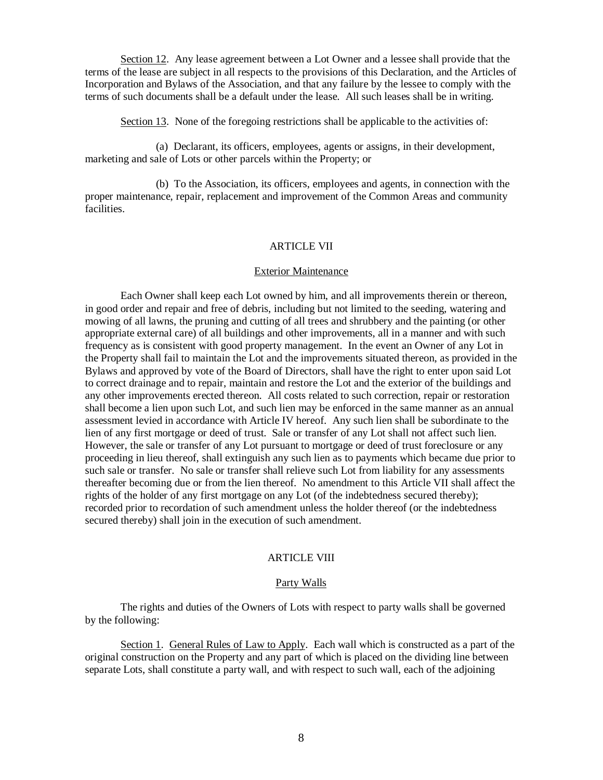Section 12. Any lease agreement between a Lot Owner and a lessee shall provide that the terms of the lease are subject in all respects to the provisions of this Declaration, and the Articles of Incorporation and Bylaws of the Association, and that any failure by the lessee to comply with the terms of such documents shall be a default under the lease. All such leases shall be in writing.

Section 13. None of the foregoing restrictions shall be applicable to the activities of:

 (a) Declarant, its officers, employees, agents or assigns, in their development, marketing and sale of Lots or other parcels within the Property; or

 (b) To the Association, its officers, employees and agents, in connection with the proper maintenance, repair, replacement and improvement of the Common Areas and community facilities.

# ARTICLE VII

### Exterior Maintenance

Each Owner shall keep each Lot owned by him, and all improvements therein or thereon, in good order and repair and free of debris, including but not limited to the seeding, watering and mowing of all lawns, the pruning and cutting of all trees and shrubbery and the painting (or other appropriate external care) of all buildings and other improvements, all in a manner and with such frequency as is consistent with good property management. In the event an Owner of any Lot in the Property shall fail to maintain the Lot and the improvements situated thereon, as provided in the Bylaws and approved by vote of the Board of Directors, shall have the right to enter upon said Lot to correct drainage and to repair, maintain and restore the Lot and the exterior of the buildings and any other improvements erected thereon. All costs related to such correction, repair or restoration shall become a lien upon such Lot, and such lien may be enforced in the same manner as an annual assessment levied in accordance with Article IV hereof. Any such lien shall be subordinate to the lien of any first mortgage or deed of trust. Sale or transfer of any Lot shall not affect such lien. However, the sale or transfer of any Lot pursuant to mortgage or deed of trust foreclosure or any proceeding in lieu thereof, shall extinguish any such lien as to payments which became due prior to such sale or transfer. No sale or transfer shall relieve such Lot from liability for any assessments thereafter becoming due or from the lien thereof. No amendment to this Article VII shall affect the rights of the holder of any first mortgage on any Lot (of the indebtedness secured thereby); recorded prior to recordation of such amendment unless the holder thereof (or the indebtedness secured thereby) shall join in the execution of such amendment.

# ARTICLE VIII

### Party Walls

The rights and duties of the Owners of Lots with respect to party walls shall be governed by the following:

Section 1. General Rules of Law to Apply. Each wall which is constructed as a part of the original construction on the Property and any part of which is placed on the dividing line between separate Lots, shall constitute a party wall, and with respect to such wall, each of the adjoining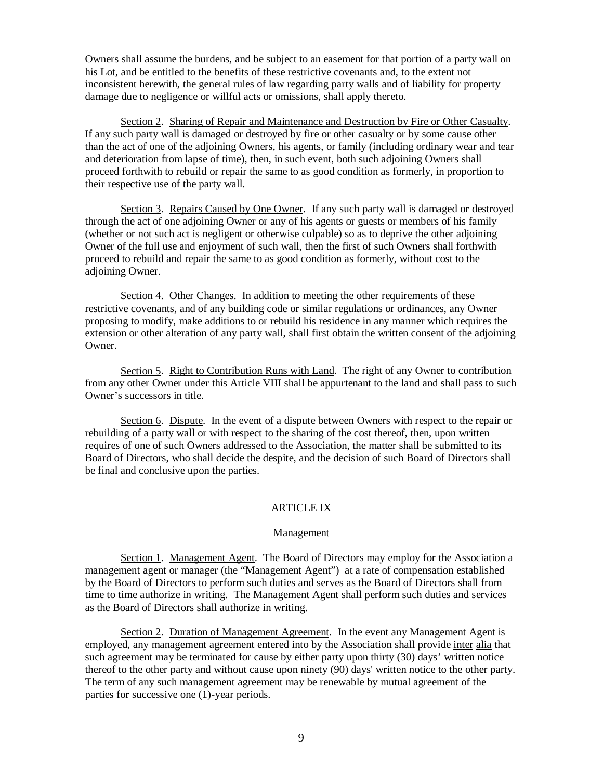Owners shall assume the burdens, and be subject to an easement for that portion of a party wall on his Lot, and be entitled to the benefits of these restrictive covenants and, to the extent not inconsistent herewith, the general rules of law regarding party walls and of liability for property damage due to negligence or willful acts or omissions, shall apply thereto.

Section 2. Sharing of Repair and Maintenance and Destruction by Fire or Other Casualty. If any such party wall is damaged or destroyed by fire or other casualty or by some cause other than the act of one of the adjoining Owners, his agents, or family (including ordinary wear and tear and deterioration from lapse of time), then, in such event, both such adjoining Owners shall proceed forthwith to rebuild or repair the same to as good condition as formerly, in proportion to their respective use of the party wall.

Section 3. Repairs Caused by One Owner. If any such party wall is damaged or destroyed through the act of one adjoining Owner or any of his agents or guests or members of his family (whether or not such act is negligent or otherwise culpable) so as to deprive the other adjoining Owner of the full use and enjoyment of such wall, then the first of such Owners shall forthwith proceed to rebuild and repair the same to as good condition as formerly, without cost to the adjoining Owner.

Section 4. Other Changes. In addition to meeting the other requirements of these restrictive covenants, and of any building code or similar regulations or ordinances, any Owner proposing to modify, make additions to or rebuild his residence in any manner which requires the extension or other alteration of any party wall, shall first obtain the written consent of the adjoining Owner.

Section 5. Right to Contribution Runs with Land. The right of any Owner to contribution from any other Owner under this Article VIII shall be appurtenant to the land and shall pass to such Owner's successors in title.

Section 6. Dispute. In the event of a dispute between Owners with respect to the repair or rebuilding of a party wall or with respect to the sharing of the cost thereof, then, upon written requires of one of such Owners addressed to the Association, the matter shall be submitted to its Board of Directors, who shall decide the despite, and the decision of such Board of Directors shall be final and conclusive upon the parties.

## ARTICLE IX

#### Management

Section 1. Management Agent. The Board of Directors may employ for the Association a management agent or manager (the "Management Agent") at a rate of compensation established by the Board of Directors to perform such duties and serves as the Board of Directors shall from time to time authorize in writing. The Management Agent shall perform such duties and services as the Board of Directors shall authorize in writing.

Section 2. Duration of Management Agreement. In the event any Management Agent is employed, any management agreement entered into by the Association shall provide inter alia that such agreement may be terminated for cause by either party upon thirty (30) days' written notice thereof to the other party and without cause upon ninety (90) days' written notice to the other party. The term of any such management agreement may be renewable by mutual agreement of the parties for successive one (1)-year periods.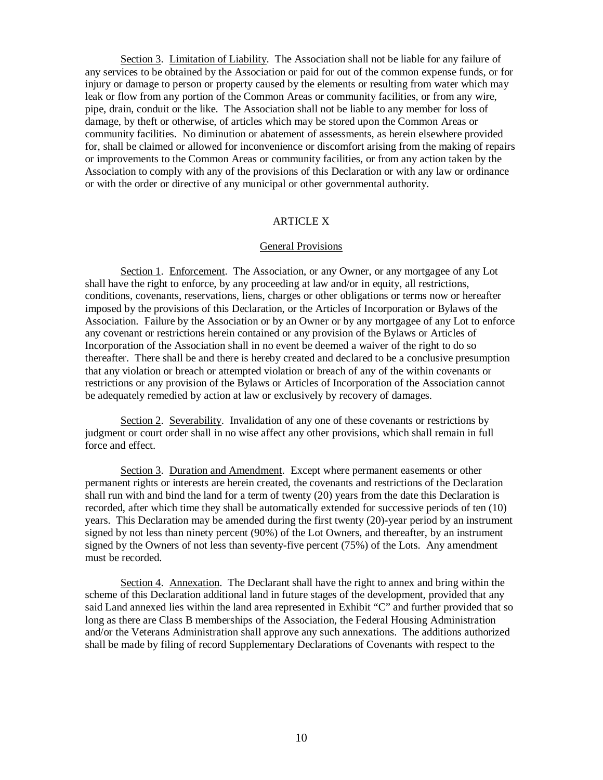Section 3. Limitation of Liability. The Association shall not be liable for any failure of any services to be obtained by the Association or paid for out of the common expense funds, or for injury or damage to person or property caused by the elements or resulting from water which may leak or flow from any portion of the Common Areas or community facilities, or from any wire, pipe, drain, conduit or the like. The Association shall not be liable to any member for loss of damage, by theft or otherwise, of articles which may be stored upon the Common Areas or community facilities. No diminution or abatement of assessments, as herein elsewhere provided for, shall be claimed or allowed for inconvenience or discomfort arising from the making of repairs or improvements to the Common Areas or community facilities, or from any action taken by the Association to comply with any of the provisions of this Declaration or with any law or ordinance or with the order or directive of any municipal or other governmental authority.

### ARTICLE X

### General Provisions

Section 1. Enforcement. The Association, or any Owner, or any mortgagee of any Lot shall have the right to enforce, by any proceeding at law and/or in equity, all restrictions, conditions, covenants, reservations, liens, charges or other obligations or terms now or hereafter imposed by the provisions of this Declaration, or the Articles of Incorporation or Bylaws of the Association. Failure by the Association or by an Owner or by any mortgagee of any Lot to enforce any covenant or restrictions herein contained or any provision of the Bylaws or Articles of Incorporation of the Association shall in no event be deemed a waiver of the right to do so thereafter. There shall be and there is hereby created and declared to be a conclusive presumption that any violation or breach or attempted violation or breach of any of the within covenants or restrictions or any provision of the Bylaws or Articles of Incorporation of the Association cannot be adequately remedied by action at law or exclusively by recovery of damages.

Section 2. Severability. Invalidation of any one of these covenants or restrictions by judgment or court order shall in no wise affect any other provisions, which shall remain in full force and effect.

Section 3. Duration and Amendment. Except where permanent easements or other permanent rights or interests are herein created, the covenants and restrictions of the Declaration shall run with and bind the land for a term of twenty (20) years from the date this Declaration is recorded, after which time they shall be automatically extended for successive periods of ten (10) years. This Declaration may be amended during the first twenty (20)-year period by an instrument signed by not less than ninety percent (90%) of the Lot Owners, and thereafter, by an instrument signed by the Owners of not less than seventy-five percent (75%) of the Lots. Any amendment must be recorded.

Section 4. Annexation. The Declarant shall have the right to annex and bring within the scheme of this Declaration additional land in future stages of the development, provided that any said Land annexed lies within the land area represented in Exhibit "C" and further provided that so long as there are Class B memberships of the Association, the Federal Housing Administration and/or the Veterans Administration shall approve any such annexations. The additions authorized shall be made by filing of record Supplementary Declarations of Covenants with respect to the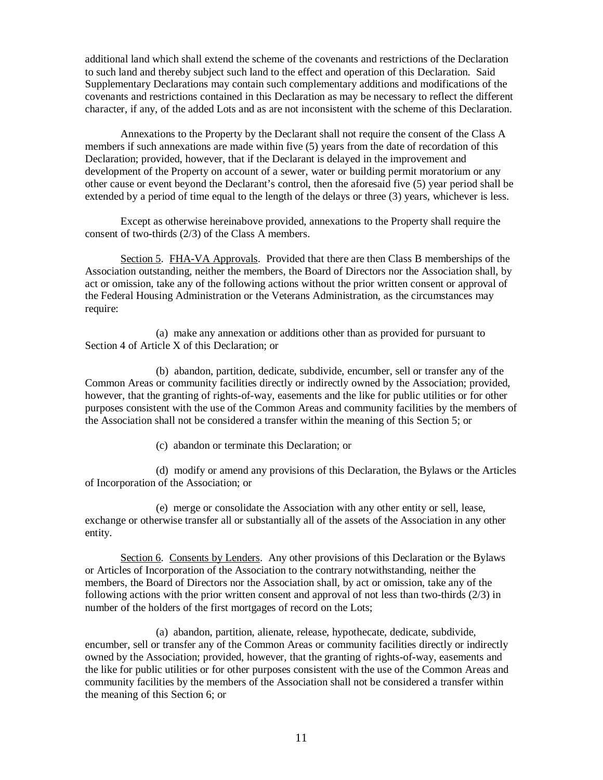additional land which shall extend the scheme of the covenants and restrictions of the Declaration to such land and thereby subject such land to the effect and operation of this Declaration. Said Supplementary Declarations may contain such complementary additions and modifications of the covenants and restrictions contained in this Declaration as may be necessary to reflect the different character, if any, of the added Lots and as are not inconsistent with the scheme of this Declaration.

Annexations to the Property by the Declarant shall not require the consent of the Class A members if such annexations are made within five (5) years from the date of recordation of this Declaration; provided, however, that if the Declarant is delayed in the improvement and development of the Property on account of a sewer, water or building permit moratorium or any other cause or event beyond the Declarant's control, then the aforesaid five (5) year period shall be extended by a period of time equal to the length of the delays or three (3) years, whichever is less.

Except as otherwise hereinabove provided, annexations to the Property shall require the consent of two-thirds (2/3) of the Class A members.

Section 5. FHA-VA Approvals. Provided that there are then Class B memberships of the Association outstanding, neither the members, the Board of Directors nor the Association shall, by act or omission, take any of the following actions without the prior written consent or approval of the Federal Housing Administration or the Veterans Administration, as the circumstances may require:

 (a) make any annexation or additions other than as provided for pursuant to Section 4 of Article X of this Declaration; or

 (b) abandon, partition, dedicate, subdivide, encumber, sell or transfer any of the Common Areas or community facilities directly or indirectly owned by the Association; provided, however, that the granting of rights-of-way, easements and the like for public utilities or for other purposes consistent with the use of the Common Areas and community facilities by the members of the Association shall not be considered a transfer within the meaning of this Section 5; or

(c) abandon or terminate this Declaration; or

 (d) modify or amend any provisions of this Declaration, the Bylaws or the Articles of Incorporation of the Association; or

 (e) merge or consolidate the Association with any other entity or sell, lease, exchange or otherwise transfer all or substantially all of the assets of the Association in any other entity.

Section 6. Consents by Lenders. Any other provisions of this Declaration or the Bylaws or Articles of Incorporation of the Association to the contrary notwithstanding, neither the members, the Board of Directors nor the Association shall, by act or omission, take any of the following actions with the prior written consent and approval of not less than two-thirds (2/3) in number of the holders of the first mortgages of record on the Lots;

 (a) abandon, partition, alienate, release, hypothecate, dedicate, subdivide, encumber, sell or transfer any of the Common Areas or community facilities directly or indirectly owned by the Association; provided, however, that the granting of rights-of-way, easements and the like for public utilities or for other purposes consistent with the use of the Common Areas and community facilities by the members of the Association shall not be considered a transfer within the meaning of this Section 6; or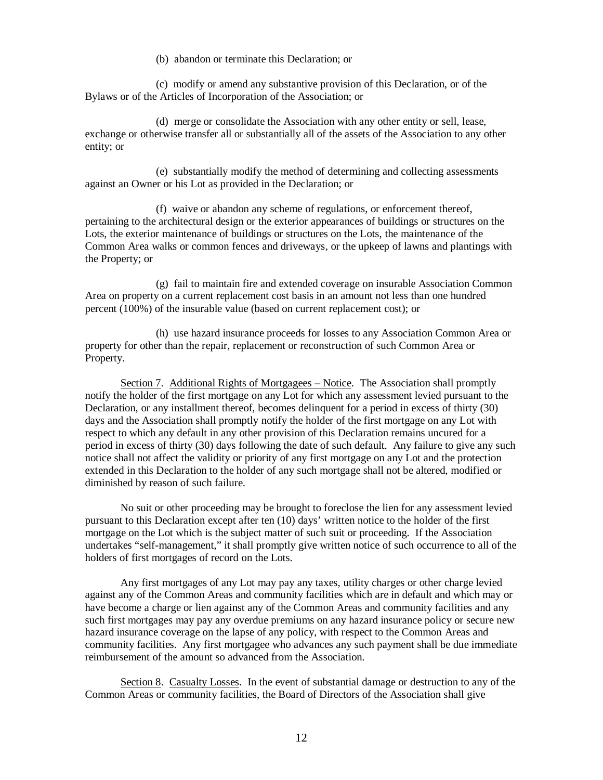(b) abandon or terminate this Declaration; or

 (c) modify or amend any substantive provision of this Declaration, or of the Bylaws or of the Articles of Incorporation of the Association; or

 (d) merge or consolidate the Association with any other entity or sell, lease, exchange or otherwise transfer all or substantially all of the assets of the Association to any other entity; or

 (e) substantially modify the method of determining and collecting assessments against an Owner or his Lot as provided in the Declaration; or

 (f) waive or abandon any scheme of regulations, or enforcement thereof, pertaining to the architectural design or the exterior appearances of buildings or structures on the Lots, the exterior maintenance of buildings or structures on the Lots, the maintenance of the Common Area walks or common fences and driveways, or the upkeep of lawns and plantings with the Property; or

 (g) fail to maintain fire and extended coverage on insurable Association Common Area on property on a current replacement cost basis in an amount not less than one hundred percent (100%) of the insurable value (based on current replacement cost); or

 (h) use hazard insurance proceeds for losses to any Association Common Area or property for other than the repair, replacement or reconstruction of such Common Area or Property.

Section 7. Additional Rights of Mortgagees – Notice. The Association shall promptly notify the holder of the first mortgage on any Lot for which any assessment levied pursuant to the Declaration, or any installment thereof, becomes delinquent for a period in excess of thirty (30) days and the Association shall promptly notify the holder of the first mortgage on any Lot with respect to which any default in any other provision of this Declaration remains uncured for a period in excess of thirty (30) days following the date of such default. Any failure to give any such notice shall not affect the validity or priority of any first mortgage on any Lot and the protection extended in this Declaration to the holder of any such mortgage shall not be altered, modified or diminished by reason of such failure.

No suit or other proceeding may be brought to foreclose the lien for any assessment levied pursuant to this Declaration except after ten (10) days' written notice to the holder of the first mortgage on the Lot which is the subject matter of such suit or proceeding. If the Association undertakes "self-management," it shall promptly give written notice of such occurrence to all of the holders of first mortgages of record on the Lots.

Any first mortgages of any Lot may pay any taxes, utility charges or other charge levied against any of the Common Areas and community facilities which are in default and which may or have become a charge or lien against any of the Common Areas and community facilities and any such first mortgages may pay any overdue premiums on any hazard insurance policy or secure new hazard insurance coverage on the lapse of any policy, with respect to the Common Areas and community facilities. Any first mortgagee who advances any such payment shall be due immediate reimbursement of the amount so advanced from the Association.

Section 8. Casualty Losses. In the event of substantial damage or destruction to any of the Common Areas or community facilities, the Board of Directors of the Association shall give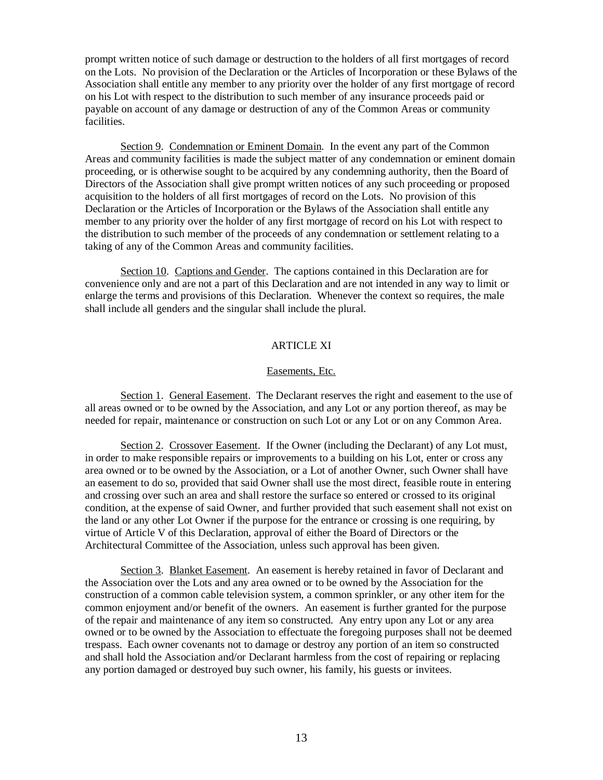prompt written notice of such damage or destruction to the holders of all first mortgages of record on the Lots. No provision of the Declaration or the Articles of Incorporation or these Bylaws of the Association shall entitle any member to any priority over the holder of any first mortgage of record on his Lot with respect to the distribution to such member of any insurance proceeds paid or payable on account of any damage or destruction of any of the Common Areas or community facilities.

Section 9. Condemnation or Eminent Domain. In the event any part of the Common Areas and community facilities is made the subject matter of any condemnation or eminent domain proceeding, or is otherwise sought to be acquired by any condemning authority, then the Board of Directors of the Association shall give prompt written notices of any such proceeding or proposed acquisition to the holders of all first mortgages of record on the Lots. No provision of this Declaration or the Articles of Incorporation or the Bylaws of the Association shall entitle any member to any priority over the holder of any first mortgage of record on his Lot with respect to the distribution to such member of the proceeds of any condemnation or settlement relating to a taking of any of the Common Areas and community facilities.

Section 10. Captions and Gender. The captions contained in this Declaration are for convenience only and are not a part of this Declaration and are not intended in any way to limit or enlarge the terms and provisions of this Declaration. Whenever the context so requires, the male shall include all genders and the singular shall include the plural.

# ARTICLE XI

## Easements, Etc.

Section 1. General Easement. The Declarant reserves the right and easement to the use of all areas owned or to be owned by the Association, and any Lot or any portion thereof, as may be needed for repair, maintenance or construction on such Lot or any Lot or on any Common Area.

Section 2. Crossover Easement. If the Owner (including the Declarant) of any Lot must, in order to make responsible repairs or improvements to a building on his Lot, enter or cross any area owned or to be owned by the Association, or a Lot of another Owner, such Owner shall have an easement to do so, provided that said Owner shall use the most direct, feasible route in entering and crossing over such an area and shall restore the surface so entered or crossed to its original condition, at the expense of said Owner, and further provided that such easement shall not exist on the land or any other Lot Owner if the purpose for the entrance or crossing is one requiring, by virtue of Article V of this Declaration, approval of either the Board of Directors or the Architectural Committee of the Association, unless such approval has been given.

Section 3. Blanket Easement. An easement is hereby retained in favor of Declarant and the Association over the Lots and any area owned or to be owned by the Association for the construction of a common cable television system, a common sprinkler, or any other item for the common enjoyment and/or benefit of the owners. An easement is further granted for the purpose of the repair and maintenance of any item so constructed. Any entry upon any Lot or any area owned or to be owned by the Association to effectuate the foregoing purposes shall not be deemed trespass. Each owner covenants not to damage or destroy any portion of an item so constructed and shall hold the Association and/or Declarant harmless from the cost of repairing or replacing any portion damaged or destroyed buy such owner, his family, his guests or invitees.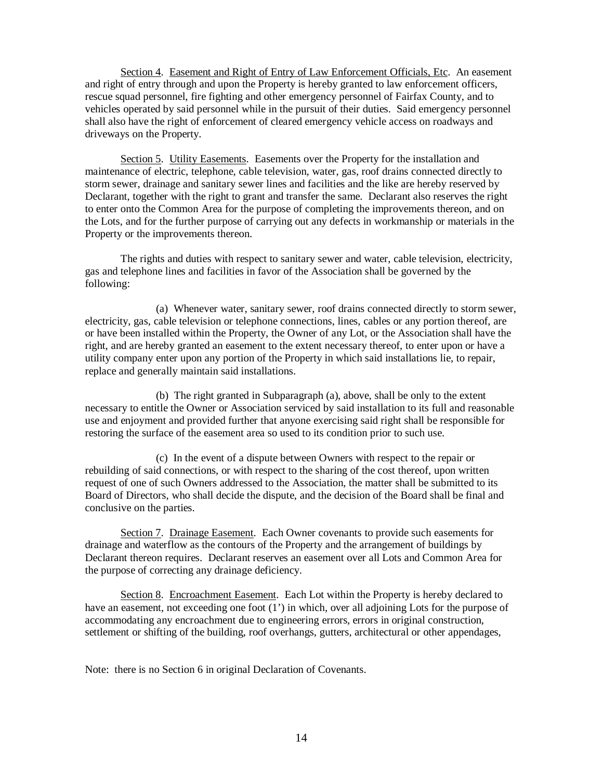Section 4. Easement and Right of Entry of Law Enforcement Officials, Etc. An easement and right of entry through and upon the Property is hereby granted to law enforcement officers, rescue squad personnel, fire fighting and other emergency personnel of Fairfax County, and to vehicles operated by said personnel while in the pursuit of their duties. Said emergency personnel shall also have the right of enforcement of cleared emergency vehicle access on roadways and driveways on the Property.

Section 5. Utility Easements. Easements over the Property for the installation and maintenance of electric, telephone, cable television, water, gas, roof drains connected directly to storm sewer, drainage and sanitary sewer lines and facilities and the like are hereby reserved by Declarant, together with the right to grant and transfer the same. Declarant also reserves the right to enter onto the Common Area for the purpose of completing the improvements thereon, and on the Lots, and for the further purpose of carrying out any defects in workmanship or materials in the Property or the improvements thereon.

The rights and duties with respect to sanitary sewer and water, cable television, electricity, gas and telephone lines and facilities in favor of the Association shall be governed by the following:

 (a) Whenever water, sanitary sewer, roof drains connected directly to storm sewer, electricity, gas, cable television or telephone connections, lines, cables or any portion thereof, are or have been installed within the Property, the Owner of any Lot, or the Association shall have the right, and are hereby granted an easement to the extent necessary thereof, to enter upon or have a utility company enter upon any portion of the Property in which said installations lie, to repair, replace and generally maintain said installations.

 (b) The right granted in Subparagraph (a), above, shall be only to the extent necessary to entitle the Owner or Association serviced by said installation to its full and reasonable use and enjoyment and provided further that anyone exercising said right shall be responsible for restoring the surface of the easement area so used to its condition prior to such use.

 (c) In the event of a dispute between Owners with respect to the repair or rebuilding of said connections, or with respect to the sharing of the cost thereof, upon written request of one of such Owners addressed to the Association, the matter shall be submitted to its Board of Directors, who shall decide the dispute, and the decision of the Board shall be final and conclusive on the parties.

Section 7. Drainage Easement. Each Owner covenants to provide such easements for drainage and waterflow as the contours of the Property and the arrangement of buildings by Declarant thereon requires. Declarant reserves an easement over all Lots and Common Area for the purpose of correcting any drainage deficiency.

Section 8. Encroachment Easement. Each Lot within the Property is hereby declared to have an easement, not exceeding one foot (1') in which, over all adjoining Lots for the purpose of accommodating any encroachment due to engineering errors, errors in original construction, settlement or shifting of the building, roof overhangs, gutters, architectural or other appendages,

Note: there is no Section 6 in original Declaration of Covenants.